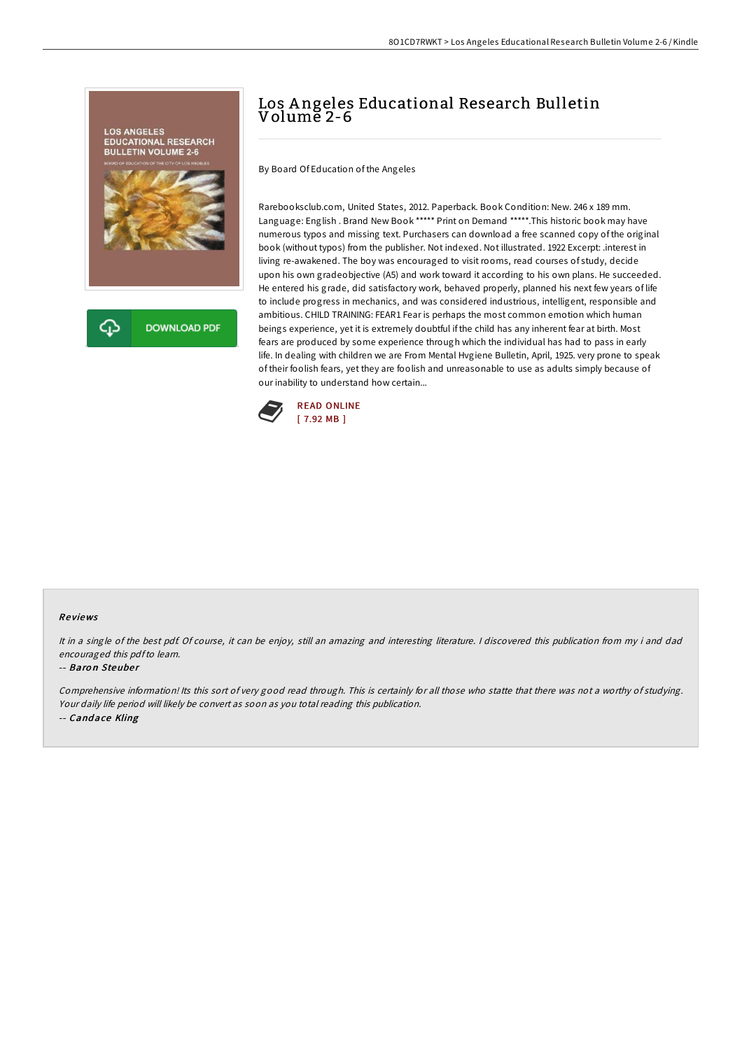

# Los Angeles Educational Research Bulletin Volume 2-6

By Board Of Education of the Angeles

Rarebooksclub.com, United States, 2012. Paperback. Book Condition: New. 246 x 189 mm. Language: English . Brand New Book \*\*\*\*\* Print on Demand \*\*\*\*\*.This historic book may have numerous typos and missing text. Purchasers can download a free scanned copy of the original book (without typos) from the publisher. Not indexed. Not illustrated. 1922 Excerpt: .interest in living re-awakened. The boy was encouraged to visit rooms, read courses of study, decide upon his own gradeobjective (A5) and work toward it according to his own plans. He succeeded. He entered his grade, did satisfactory work, behaved properly, planned his next few years of life to include progress in mechanics, and was considered industrious, intelligent, responsible and ambitious. CHILD TRAINING: FEAR1 Fear is perhaps the most common emotion which human beings experience, yet it is extremely doubtful if the child has any inherent fear at birth. Most fears are produced by some experience through which the individual has had to pass in early life. In dealing with children we are From Mental Hvgiene Bulletin, April, 1925. very prone to speak of their foolish fears, yet they are foolish and unreasonable to use as adults simply because of our inability to understand how certain...



#### Re views

It in <sup>a</sup> single of the best pdf. Of course, it can be enjoy, still an amazing and interesting literature. <sup>I</sup> discovered this publication from my i and dad encouraged this pdfto learn.

#### -- Baron Steuber

Comprehensive information! Its this sort of very good read through. This is certainly for all those who statte that there was not a worthy of studying. Your daily life period will likely be convert as soon as you total reading this publication. -- Candace Kling